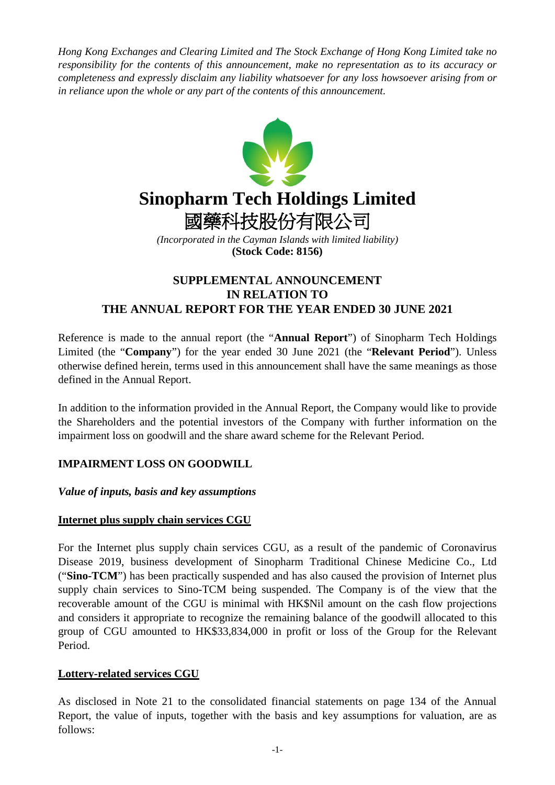*Hong Kong Exchanges and Clearing Limited and The Stock Exchange of Hong Kong Limited take no responsibility for the contents of this announcement, make no representation as to its accuracy or completeness and expressly disclaim any liability whatsoever for any loss howsoever arising from or in reliance upon the whole or any part of the contents of this announcement.*



# **SUPPLEMENTAL ANNOUNCEMENT IN RELATION TO THE ANNUAL REPORT FOR THE YEAR ENDED 30 JUNE 2021**

Reference is made to the annual report (the "**Annual Report**") of Sinopharm Tech Holdings Limited (the "**Company**") for the year ended 30 June 2021 (the "**Relevant Period**"). Unless otherwise defined herein, terms used in this announcement shall have the same meanings as those defined in the Annual Report.

In addition to the information provided in the Annual Report, the Company would like to provide the Shareholders and the potential investors of the Company with further information on the impairment loss on goodwill and the share award scheme for the Relevant Period.

## **IMPAIRMENT LOSS ON GOODWILL**

## *Value of inputs, basis and key assumptions*

#### **Internet plus supply chain services CGU**

For the Internet plus supply chain services CGU, as a result of the pandemic of Coronavirus Disease 2019, business development of Sinopharm Traditional Chinese Medicine Co., Ltd ("**Sino-TCM**") has been practically suspended and has also caused the provision of Internet plus supply chain services to Sino-TCM being suspended. The Company is of the view that the recoverable amount of the CGU is minimal with HK\$Nil amount on the cash flow projections and considers it appropriate to recognize the remaining balance of the goodwill allocated to this group of CGU amounted to HK\$33,834,000 in profit or loss of the Group for the Relevant Period.

## **Lottery-related services CGU**

As disclosed in Note 21 to the consolidated financial statements on page 134 of the Annual Report, the value of inputs, together with the basis and key assumptions for valuation, are as follows: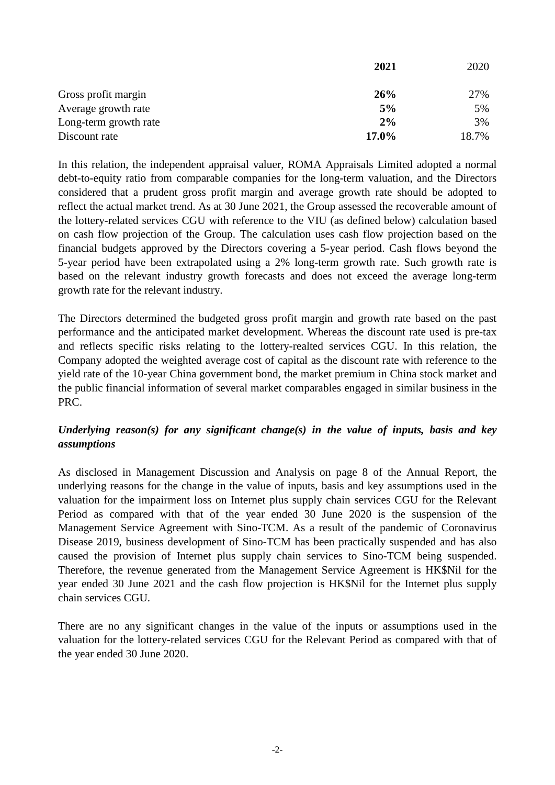|                       | 2021  | 2020  |
|-----------------------|-------|-------|
| Gross profit margin   | 26%   | 27%   |
| Average growth rate   | 5%    | 5%    |
| Long-term growth rate | 2%    | 3%    |
| Discount rate         | 17.0% | 18.7% |

In this relation, the independent appraisal valuer, ROMA Appraisals Limited adopted a normal debt-to-equity ratio from comparable companies for the long-term valuation, and the Directors considered that a prudent gross profit margin and average growth rate should be adopted to reflect the actual market trend. As at 30 June 2021, the Group assessed the recoverable amount of the lottery-related services CGU with reference to the VIU (as defined below) calculation based on cash flow projection of the Group. The calculation uses cash flow projection based on the financial budgets approved by the Directors covering a 5-year period. Cash flows beyond the 5-year period have been extrapolated using a 2% long-term growth rate. Such growth rate is based on the relevant industry growth forecasts and does not exceed the average long-term growth rate for the relevant industry.

The Directors determined the budgeted gross profit margin and growth rate based on the past performance and the anticipated market development. Whereas the discount rate used is pre-tax and reflects specific risks relating to the lottery-realted services CGU. In this relation, the Company adopted the weighted average cost of capital as the discount rate with reference to the yield rate of the 10-year China government bond, the market premium in China stock market and the public financial information of several market comparables engaged in similar business in the PRC.

## *Underlying reason(s) for any significant change(s) in the value of inputs, basis and key assumptions*

As disclosed in Management Discussion and Analysis on page 8 of the Annual Report, the underlying reasons for the change in the value of inputs, basis and key assumptions used in the valuation for the impairment loss on Internet plus supply chain services CGU for the Relevant Period as compared with that of the year ended 30 June 2020 is the suspension of the Management Service Agreement with Sino-TCM. As a result of the pandemic of Coronavirus Disease 2019, business development of Sino-TCM has been practically suspended and has also caused the provision of Internet plus supply chain services to Sino-TCM being suspended. Therefore, the revenue generated from the Management Service Agreement is HK\$Nil for the year ended 30 June 2021 and the cash flow projection is HK\$Nil for the Internet plus supply chain services CGU.

There are no any significant changes in the value of the inputs or assumptions used in the valuation for the lottery-related services CGU for the Relevant Period as compared with that of the year ended 30 June 2020.